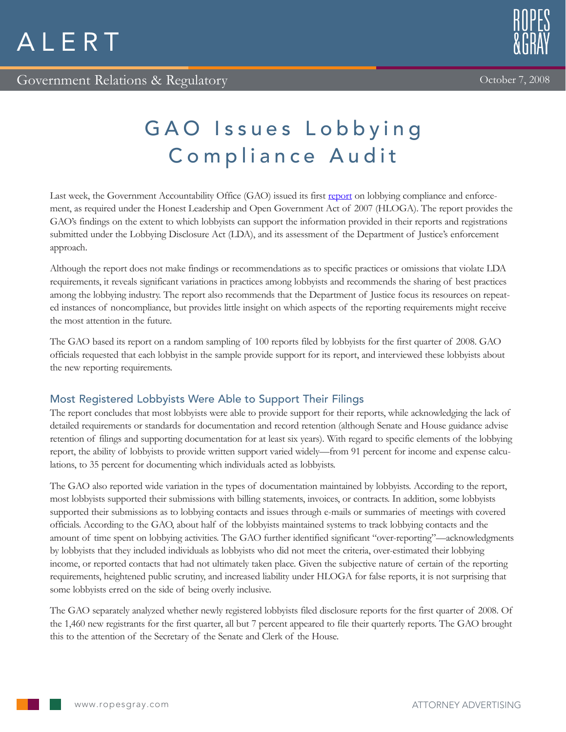# GAO Issues Lobbying Compliance Audit

Last week, the Government Accountability Office (GAO) issued its first [report](http://www.gao.gov/products/GAO-08-1099) on lobbying compliance and enforcement, as required under the Honest Leadership and Open Government Act of 2007 (HLOGA). The report provides the GAO's findings on the extent to which lobbyists can support the information provided in their reports and registrations submitted under the Lobbying Disclosure Act (LDA), and its assessment of the Department of Justice's enforcement approach.

Although the report does not make findings or recommendations as to specific practices or omissions that violate LDA requirements, it reveals significant variations in practices among lobbyists and recommends the sharing of best practices among the lobbying industry. The report also recommends that the Department of Justice focus its resources on repeated instances of noncompliance, but provides little insight on which aspects of the reporting requirements might receive the most attention in the future.

The GAO based its report on a random sampling of 100 reports filed by lobbyists for the first quarter of 2008. GAO officials requested that each lobbyist in the sample provide support for its report, and interviewed these lobbyists about the new reporting requirements.

## Most Registered Lobbyists Were Able to Support Their Filings

The report concludes that most lobbyists were able to provide support for their reports, while acknowledging the lack of detailed requirements or standards for documentation and record retention (although Senate and House guidance advise retention of filings and supporting documentation for at least six years). With regard to specific elements of the lobbying report, the ability of lobbyists to provide written support varied widely—from 91 percent for income and expense calculations, to 35 percent for documenting which individuals acted as lobbyists.

The GAO also reported wide variation in the types of documentation maintained by lobbyists. According to the report, most lobbyists supported their submissions with billing statements, invoices, or contracts. In addition, some lobbyists supported their submissions as to lobbying contacts and issues through e-mails or summaries of meetings with covered officials. According to the GAO, about half of the lobbyists maintained systems to track lobbying contacts and the amount of time spent on lobbying activities. The GAO further identified significant "over-reporting"—acknowledgments by lobbyists that they included individuals as lobbyists who did not meet the criteria, over-estimated their lobbying income, or reported contacts that had not ultimately taken place. Given the subjective nature of certain of the reporting requirements, heightened public scrutiny, and increased liability under HLOGA for false reports, it is not surprising that some lobbyists erred on the side of being overly inclusive.

The GAO separately analyzed whether newly registered lobbyists filed disclosure reports for the first quarter of 2008. Of the 1,460 new registrants for the first quarter, all but 7 percent appeared to file their quarterly reports. The GAO brought this to the attention of the Secretary of the Senate and Clerk of the House.